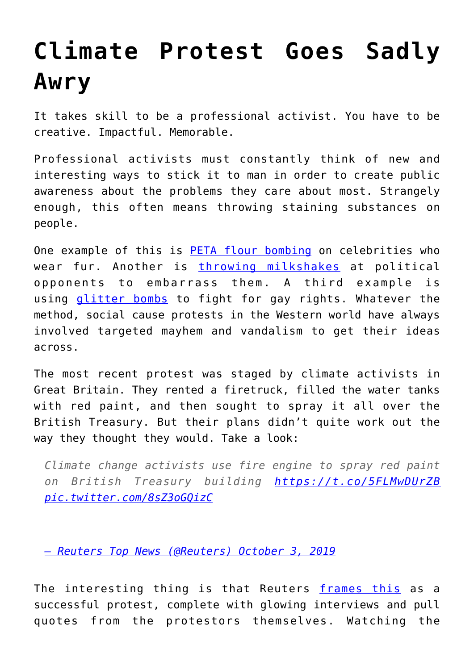## **[Climate Protest Goes Sadly](https://intellectualtakeout.org/2019/10/climate-protest-goes-sadly-awry/) [Awry](https://intellectualtakeout.org/2019/10/climate-protest-goes-sadly-awry/)**

It takes skill to be a professional activist. You have to be creative. Impactful. Memorable.

Professional activists must constantly think of new and interesting ways to stick it to man in order to create public awareness about the problems they care about most. Strangely enough, this often means throwing staining substances on people.

One example of this is [PETA flour bombing](https://www.thedailybeast.com/peta-gone-wild-flour-bombing-kim-kardashian-accusing-hbo-of-murder) on celebrities who wear fur. Another is [throwing milkshakes](https://www.cnn.com/2019/06/18/uk/nigel-farage-milkshake-sentence-gbr-intl/index.html) at political opponents to embarrass them. A third example is using [glitter bombs](https://qz.com/931204/the-brief-sparkly-history-of-using-glitter-to-fight-for-lgbtq-rights/) to fight for gay rights. Whatever the method, social cause protests in the Western world have always involved targeted mayhem and vandalism to get their ideas across.

The most recent protest was staged by climate activists in Great Britain. They rented a firetruck, filled the water tanks with red paint, and then sought to spray it all over the British Treasury. But their plans didn't quite work out the way they thought they would. Take a look:

*Climate change activists use fire engine to spray red paint on British Treasury building <https://t.co/5FLMwDUrZB> [pic.twitter.com/8sZ3oGQizC](https://t.co/8sZ3oGQizC)*

*[— Reuters Top News \(@Reuters\)](https://t.co/8sZ3oGQizC) [October 3, 2019](https://twitter.com/Reuters/status/1179778131206557697?ref_src=twsrc%5Etfw)*

The interesting thing is that Reuters [frames this](https://www.reuters.com/article/us-climate-change-britain/climate-change-activists-spray-red-paint-at-uk-treasury-from-fire-engine-idUSKBN1WI0U9) as a successful protest, complete with glowing interviews and pull quotes from the protestors themselves. Watching the